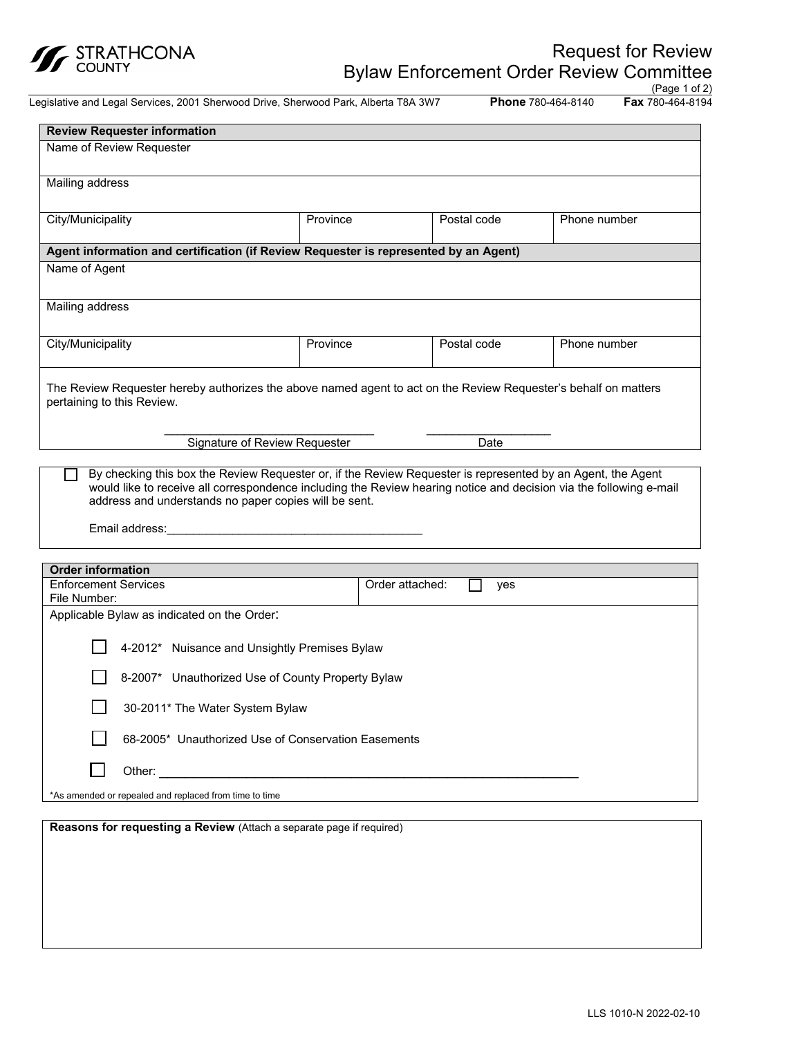

Legislative and Legal Services, 2001 Sherwood Drive, Sherwood Park, Alberta T8A 3W7 **Phone** 780-464-8140

(Page 1 of 2)<br>**Fax** 780-464-8194

| <b>Review Requester information</b>     |                                                                                                                    |                                                                                                                                                   |              |
|-----------------------------------------|--------------------------------------------------------------------------------------------------------------------|---------------------------------------------------------------------------------------------------------------------------------------------------|--------------|
| Name of Review Requester                |                                                                                                                    |                                                                                                                                                   |              |
|                                         |                                                                                                                    |                                                                                                                                                   |              |
| Mailing address                         |                                                                                                                    |                                                                                                                                                   |              |
|                                         |                                                                                                                    |                                                                                                                                                   |              |
| City/Municipality                       | Province                                                                                                           | Postal code                                                                                                                                       | Phone number |
|                                         |                                                                                                                    |                                                                                                                                                   |              |
|                                         | Agent information and certification (if Review Requester is represented by an Agent)                               |                                                                                                                                                   |              |
| Name of Agent                           |                                                                                                                    |                                                                                                                                                   |              |
|                                         |                                                                                                                    |                                                                                                                                                   |              |
| Mailing address                         |                                                                                                                    |                                                                                                                                                   |              |
|                                         |                                                                                                                    |                                                                                                                                                   |              |
| City/Municipality                       | Province                                                                                                           | Postal code                                                                                                                                       | Phone number |
|                                         |                                                                                                                    |                                                                                                                                                   |              |
|                                         | The Review Requester hereby authorizes the above named agent to act on the Review Requester's behalf on matters    |                                                                                                                                                   |              |
| pertaining to this Review.              |                                                                                                                    |                                                                                                                                                   |              |
|                                         |                                                                                                                    |                                                                                                                                                   |              |
|                                         | Signature of Review Requester                                                                                      | Date                                                                                                                                              |              |
|                                         |                                                                                                                    |                                                                                                                                                   |              |
|                                         | By checking this box the Review Requester or, if the Review Requester is represented by an Agent, the Agent        |                                                                                                                                                   |              |
|                                         | would like to receive all correspondence including the Review hearing notice and decision via the following e-mail |                                                                                                                                                   |              |
|                                         | address and understands no paper copies will be sent.                                                              |                                                                                                                                                   |              |
| Email address:                          | the contract of the contract of the contract of the contract of the contract of                                    |                                                                                                                                                   |              |
|                                         |                                                                                                                    |                                                                                                                                                   |              |
| <b>Order information</b>                |                                                                                                                    |                                                                                                                                                   |              |
| $\Gamma$ is famous and $\Omega$ and its |                                                                                                                    | $\bigcap_{x=1}^{\infty}$ and $\bigcap_{x=1}^{\infty}$ and $\bigcap_{x=1}^{\infty}$ and $\bigcap_{x=1}^{\infty}$ and $\bigcap_{x=1}^{\infty}$<br>┍ |              |

| 91991 1111911119091                                    |                        |  |  |
|--------------------------------------------------------|------------------------|--|--|
| <b>Enforcement Services</b><br>File Number:            | Order attached:<br>yes |  |  |
| Applicable Bylaw as indicated on the Order:            |                        |  |  |
| 4-2012* Nuisance and Unsightly Premises Bylaw          |                        |  |  |
| 8-2007* Unauthorized Use of County Property Bylaw      |                        |  |  |
| 30-2011* The Water System Bylaw                        |                        |  |  |
| 68-2005* Unauthorized Use of Conservation Easements    |                        |  |  |
| Other:                                                 |                        |  |  |
| *As amended or repealed and replaced from time to time |                        |  |  |

**Reasons for requesting a Review** (Attach a separate page if required)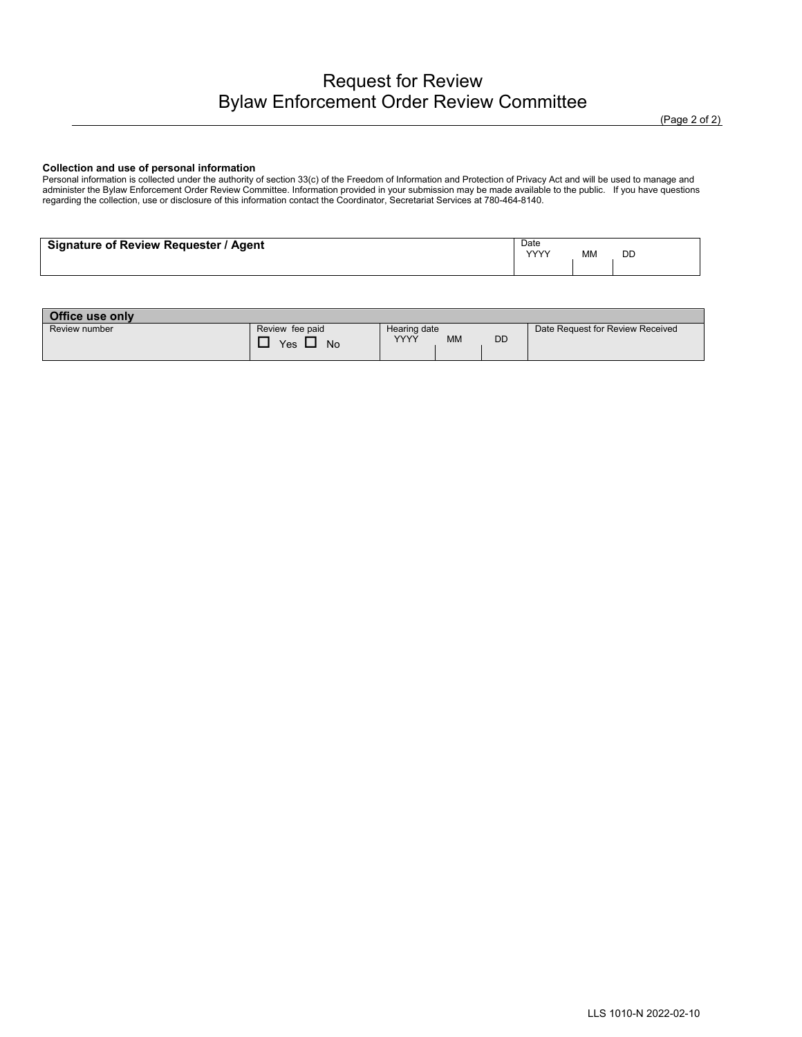#### **Collection and use of personal information**

Personal information is collected under the authority of section 33(c) of the Freedom of Information and Protection of Privacy Act and will be used to manage and administer the Bylaw Enforcement Order Review Committee. Information provided in your submission may be made available to the public. If you have questions regarding the collection, use or disclosure of this information contact the Coordinator, Secretariat Services at 780-464-8140.

| Signature of Review Requester / Agent | Date<br>$\sqrt{2}$ | МM | DD |
|---------------------------------------|--------------------|----|----|
|                                       |                    |    |    |

| Office use only |                 |                                |                                  |
|-----------------|-----------------|--------------------------------|----------------------------------|
| Review number   | Review fee paid | Hearing date                   | Date Request for Review Received |
|                 | Yes<br>No       | DD<br><b>YYYY</b><br><b>MM</b> |                                  |